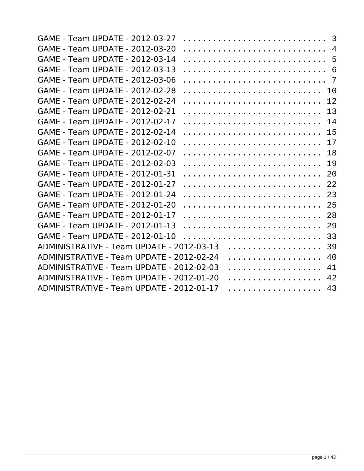| GAME - Team UPDATE - 2012-03-27           |   | 3  |
|-------------------------------------------|---|----|
| GAME - Team UPDATE - 2012-03-20           |   | 4  |
| GAME - Team UPDATE - 2012-03-14           |   | 5  |
| GAME - Team UPDATE - 2012-03-13           |   | 6  |
| GAME - Team UPDATE - 2012-03-06           |   | 7  |
| GAME - Team UPDATE - 2012-02-28           |   | 10 |
| GAME - Team UPDATE - 2012-02-24           |   | 12 |
| <b>GAME - Team UPDATE - 2012-02-21</b>    |   | 13 |
| GAME - Team UPDATE - 2012-02-17           |   | 14 |
| GAME - Team UPDATE - 2012-02-14           |   | 15 |
| GAME - Team UPDATE - 2012-02-10           |   | 17 |
| GAME - Team UPDATE - 2012-02-07           |   | 18 |
| GAME - Team UPDATE - 2012-02-03           |   | 19 |
| GAME - Team UPDATE - 2012-01-31           |   | 20 |
| GAME - Team UPDATE - 2012-01-27           |   | 22 |
| GAME - Team UPDATE - 2012-01-24           |   | 23 |
| <b>GAME - Team UPDATE - 2012-01-20</b>    |   | 25 |
| GAME - Team UPDATE - 2012-01-17           |   | 28 |
| GAME - Team UPDATE - 2012-01-13           |   | 29 |
| GAME - Team UPDATE - 2012-01-10           |   | 33 |
| ADMINISTRATIVE - Team UPDATE - 2012-03-13 | . | 39 |
| ADMINISTRATIVE - Team UPDATE - 2012-02-24 | . | 40 |
| ADMINISTRATIVE - Team UPDATE - 2012-02-03 | . | 41 |
| ADMINISTRATIVE - Team UPDATE - 2012-01-20 | . | 42 |
| ADMINISTRATIVE - Team UPDATE - 2012-01-17 | . | 43 |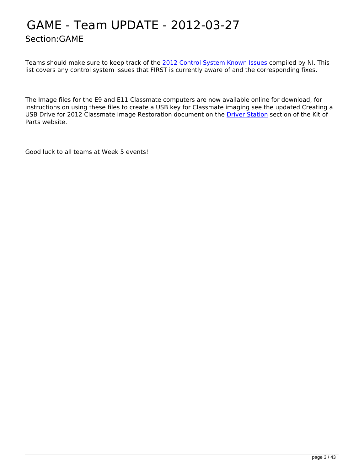### <span id="page-2-0"></span>GAME - Team UPDATE - 2012-03-27 Section:GAME

Teams should make sure to keep track of the [2012 Control System Known Issues](https://decibel.ni.com/content/docs/DOC-21809) compiled by NI. This list covers any control system issues that FIRST is currently aware of and the corresponding fixes.

The Image files for the E9 and E11 Classmate computers are now available online for download, for instructions on using these files to create a USB key for Classmate imaging see the updated Creating a USB Drive for 2012 Classmate Image Restoration document on the [Driver Station](http://www.usfirst.org/roboticsprograms/frc/2012-kit-of-parts-driver-station) section of the Kit of Parts website.

Good luck to all teams at Week 5 events!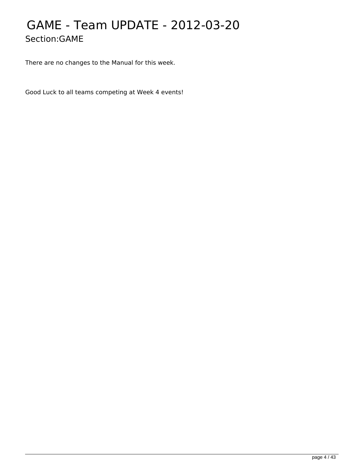## <span id="page-3-0"></span>GAME - Team UPDATE - 2012-03-20 Section:GAME

There are no changes to the Manual for this week.

Good Luck to all teams competing at Week 4 events!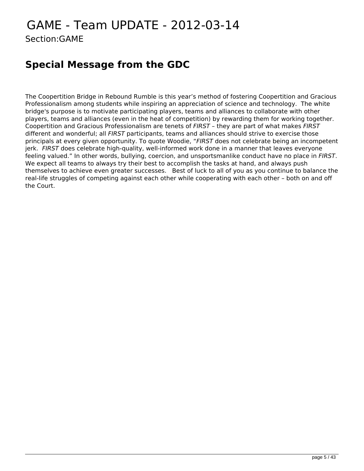## <span id="page-4-0"></span>GAME - Team UPDATE - 2012-03-14 Section:GAME

### **Special Message from the GDC**

The Coopertition Bridge in Rebound Rumble is this year's method of fostering Coopertition and Gracious Professionalism among students while inspiring an appreciation of science and technology. The white bridge's purpose is to motivate participating players, teams and alliances to collaborate with other players, teams and alliances (even in the heat of competition) by rewarding them for working together. Coopertition and Gracious Professionalism are tenets of *FIRST* – they are part of what makes *FIRST* different and wonderful; all *FIRST* participants, teams and alliances should strive to exercise those principals at every given opportunity. To quote Woodie, "*FIRST* does not celebrate being an incompetent jerk. *FIRST* does celebrate high-quality, well-informed work done in a manner that leaves everyone feeling valued." In other words, bullying, coercion, and unsportsmanlike conduct have no place in *FIRST*. We expect all teams to always try their best to accomplish the tasks at hand, and always push themselves to achieve even greater successes. Best of luck to all of you as you continue to balance the real-life struggles of competing against each other while cooperating with each other – both on and off the Court.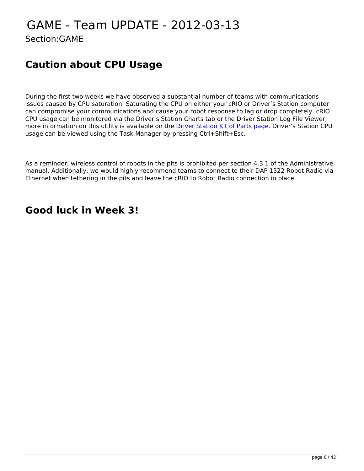## <span id="page-5-0"></span>GAME - Team UPDATE - 2012-03-13 Section:GAME

### **Caution about CPU Usage**

During the first two weeks we have observed a substantial number of teams with communications issues caused by CPU saturation. Saturating the CPU on either your cRIO or Driver's Station computer can compromise your communications and cause your robot response to lag or drop completely. cRIO CPU usage can be monitored via the Driver's Station Charts tab or the Driver Station Log File Viewer, more information on this utility is available on the **Driver Station Kit of Parts page**. Driver's Station CPU usage can be viewed using the Task Manager by pressing Ctrl+Shift+Esc.

As a reminder, wireless control of robots in the pits is prohibited per section 4.3.1 of the Administrative manual. Additionally, we would highly recommend teams to connect to their DAP 1522 Robot Radio via Ethernet when tethering in the pits and leave the cRIO to Robot Radio connection in place.

### **Good luck in Week 3!**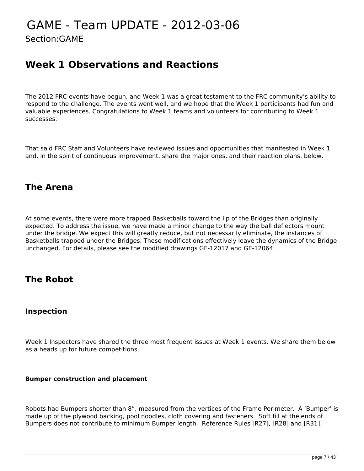### <span id="page-6-0"></span>GAME - Team UPDATE - 2012-03-06 Section:GAME

### **Week 1 Observations and Reactions**

The 2012 FRC events have begun, and Week 1 was a great testament to the FRC community's ability to respond to the challenge. The events went well, and we hope that the Week 1 participants had fun and valuable experiences. Congratulations to Week 1 teams and volunteers for contributing to Week 1 successes.

That said FRC Staff and Volunteers have reviewed issues and opportunities that manifested in Week 1 and, in the spirit of continuous improvement, share the major ones, and their reaction plans, below.

### **The Arena**

At some events, there were more trapped Basketballs toward the lip of the Bridges than originally expected. To address the issue, we have made a minor change to the way the ball deflectors mount under the bridge. We expect this will greatly reduce, but not necessarily eliminate, the instances of Basketballs trapped under the Bridges. These modifications effectively leave the dynamics of the Bridge unchanged. For details, please see the modified drawings GE-12017 and GE-12064.

### **The Robot**

#### **Inspection**

Week 1 Inspectors have shared the three most frequent issues at Week 1 events. We share them below as a heads up for future competitions.

#### **Bumper construction and placement**

Robots had Bumpers shorter than 8", measured from the vertices of the Frame Perimeter. A 'Bumper' is made up of the plywood backing, pool noodles, cloth covering and fasteners. Soft fill at the ends of Bumpers does not contribute to minimum Bumper length. Reference Rules [R27], [R28] and [R31].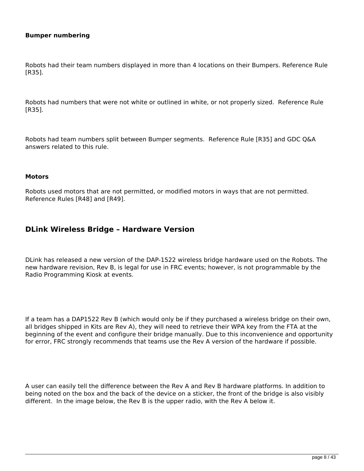#### **Bumper numbering**

Robots had their team numbers displayed in more than 4 locations on their Bumpers. Reference Rule [R35].

Robots had numbers that were not white or outlined in white, or not properly sized. Reference Rule [R35].

Robots had team numbers split between Bumper segments. Reference Rule [R35] and GDC Q&A answers related to this rule.

#### **Motors**

Robots used motors that are not permitted, or modified motors in ways that are not permitted. Reference Rules [R48] and [R49].

#### **DLink Wireless Bridge – Hardware Version**

DLink has released a new version of the DAP-1522 wireless bridge hardware used on the Robots. The new hardware revision, Rev B, is legal for use in FRC events; however, is not programmable by the Radio Programming Kiosk at events.

If a team has a DAP1522 Rev B (which would only be if they purchased a wireless bridge on their own, all bridges shipped in Kits are Rev A), they will need to retrieve their WPA key from the FTA at the beginning of the event and configure their bridge manually. Due to this inconvenience and opportunity for error, FRC strongly recommends that teams use the Rev A version of the hardware if possible.

A user can easily tell the difference between the Rev A and Rev B hardware platforms. In addition to being noted on the box and the back of the device on a sticker, the front of the bridge is also visibly different. In the image below, the Rev B is the upper radio, with the Rev A below it.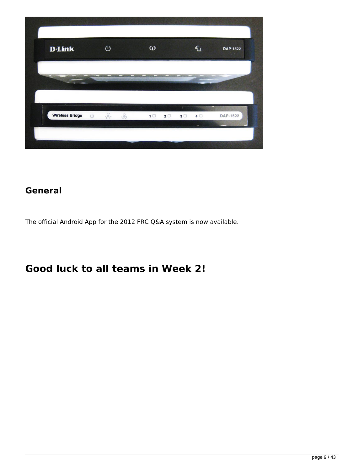| <b>D-Link</b>                    | $\mathbf{\Theta}$ |                   | $\mathbf{Q}$ |  | $\mathbf{G}$   | <b>DAP-1522</b> |
|----------------------------------|-------------------|-------------------|--------------|--|----------------|-----------------|
|                                  |                   |                   |              |  |                |                 |
| <b>Wireless Bridge</b><br>$\cup$ | $\frac{1}{2}$     | $\widehat{\odot}$ |              |  | 4 <sup>1</sup> | DAP-1522        |

### **General**

The official Android App for the 2012 FRC Q&A system is now available.

### **Good luck to all teams in Week 2!**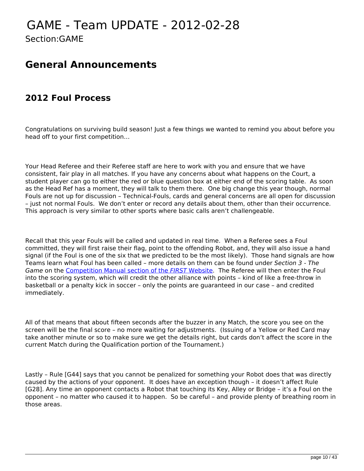### <span id="page-9-0"></span>GAME - Team UPDATE - 2012-02-28 Section:GAME

### **General Announcements**

### **2012 Foul Process**

Congratulations on surviving build season! Just a few things we wanted to remind you about before you head off to your first competition…

Your Head Referee and their Referee staff are here to work with you and ensure that we have consistent, fair play in all matches. If you have any concerns about what happens on the Court, a student player can go to either the red or blue question box at either end of the scoring table. As soon as the Head Ref has a moment, they will talk to them there. One big change this year though, normal Fouls are not up for discussion – Technical-Fouls, cards and general concerns are all open for discussion – just not normal Fouls. We don't enter or record any details about them, other than their occurrence. This approach is very similar to other sports where basic calls aren't challengeable.

Recall that this year Fouls will be called and updated in real time. When a Referee sees a Foul committed, they will first raise their flag, point to the offending Robot, and, they will also issue a hand signal (if the Foul is one of the six that we predicted to be the most likely). Those hand signals are how Teams learn what Foul has been called – more details on them can be found under *Section 3 - The Game* on the [Competition Manual section of the](http://www.usfirst.org/roboticsprograms/frc/competition-manual-and-related-documents) *[FIRST](http://www.usfirst.org/roboticsprograms/frc/competition-manual-and-related-documents)* [Website.](http://www.usfirst.org/roboticsprograms/frc/competition-manual-and-related-documents) The Referee will then enter the Foul into the scoring system, which will credit the other alliance with points – kind of like a free-throw in basketball or a penalty kick in soccer – only the points are guaranteed in our case – and credited immediately.

All of that means that about fifteen seconds after the buzzer in any Match, the score you see on the screen will be the final score – no more waiting for adjustments. (Issuing of a Yellow or Red Card may take another minute or so to make sure we get the details right, but cards don't affect the score in the current Match during the Qualification portion of the Tournament.)

Lastly – Rule [G44] says that you cannot be penalized for something your Robot does that was directly caused by the actions of your opponent. It does have an exception though – it doesn't affect Rule [G28]. Any time an opponent contacts a Robot that touching its Key, Alley or Bridge – it's a Foul on the opponent – no matter who caused it to happen. So be careful – and provide plenty of breathing room in those areas.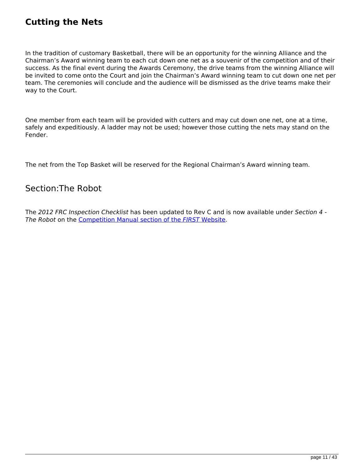### **Cutting the Nets**

In the tradition of customary Basketball, there will be an opportunity for the winning Alliance and the Chairman's Award winning team to each cut down one net as a souvenir of the competition and of their success. As the final event during the Awards Ceremony, the drive teams from the winning Alliance will be invited to come onto the Court and join the Chairman's Award winning team to cut down one net per team. The ceremonies will conclude and the audience will be dismissed as the drive teams make their way to the Court.

One member from each team will be provided with cutters and may cut down one net, one at a time, safely and expeditiously. A ladder may not be used; however those cutting the nets may stand on the Fender.

The net from the Top Basket will be reserved for the Regional Chairman's Award winning team.

#### Section:The Robot

The *2012 FRC Inspection Checklist* has been updated to Rev C and is now available under *Section 4 - The Robot* on the [Competition Manual section of the](http://www.usfirst.org/roboticsprograms/frc/competition-manual-and-related-documents) *[FIRST](http://www.usfirst.org/roboticsprograms/frc/competition-manual-and-related-documents)* [Website](http://www.usfirst.org/roboticsprograms/frc/competition-manual-and-related-documents).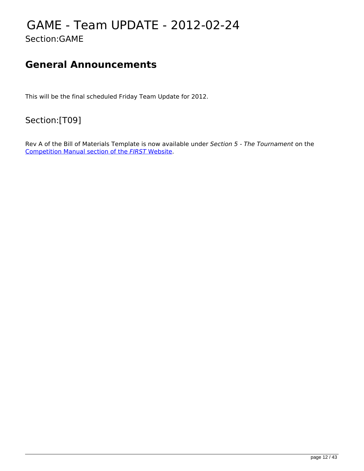### <span id="page-11-0"></span>GAME - Team UPDATE - 2012-02-24 Section:GAME

### **General Announcements**

This will be the final scheduled Friday Team Update for 2012.

Section:[T09]

Rev A of the Bill of Materials Template is now available under *Section 5 - The Tournament* on the [Competition Manual section of the](http://www.usfirst.org/roboticsprograms/frc/competition-manual-and-related-documents) *[FIRST](http://www.usfirst.org/roboticsprograms/frc/competition-manual-and-related-documents)* [Website.](http://www.usfirst.org/roboticsprograms/frc/competition-manual-and-related-documents)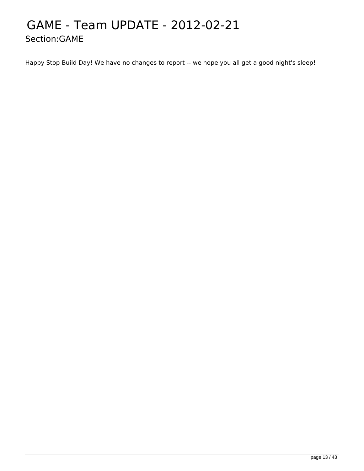### <span id="page-12-0"></span>GAME - Team UPDATE - 2012-02-21 Section:GAME

Happy Stop Build Day! We have no changes to report -- we hope you all get a good night's sleep!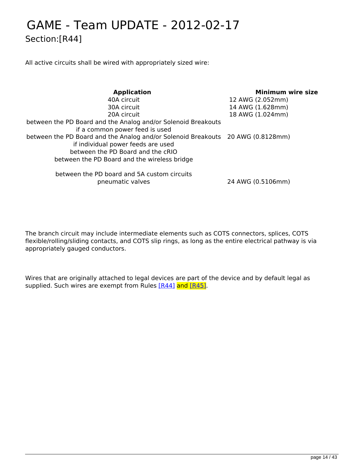## <span id="page-13-0"></span>GAME - Team UPDATE - 2012-02-17 Section:[R44]

All active circuits shall be wired with appropriately sized wire:

| <b>Application</b>                                                                                                                                                                                         | <b>Minimum wire size</b> |
|------------------------------------------------------------------------------------------------------------------------------------------------------------------------------------------------------------|--------------------------|
| 40A circuit                                                                                                                                                                                                | 12 AWG (2.052mm)         |
| 30A circuit                                                                                                                                                                                                | 14 AWG (1.628mm)         |
| 20A circuit                                                                                                                                                                                                | 18 AWG (1.024mm)         |
| between the PD Board and the Analog and/or Solenoid Breakouts<br>if a common power feed is used                                                                                                            |                          |
| between the PD Board and the Analog and/or Solenoid Breakouts 20 AWG (0.8128mm)<br>if individual power feeds are used<br>between the PD Board and the cRIO<br>between the PD Board and the wireless bridge |                          |
|                                                                                                                                                                                                            |                          |

between the PD board and 5A custom circuits pneumatic valves 24 AWG (0.5106mm)

The branch circuit may include intermediate elements such as COTS connectors, splices, COTS flexible/rolling/sliding contacts, and COTS slip rings, as long as the entire electrical pathway is via appropriately gauged conductors.

Wires that are originally attached to legal devices are part of the device and by default legal as supplied. Such wires are exempt from Rules [\[R44\]](http://frc-manual.usfirst.org/viewSingleItemMap/684) and [\[R45\].](http://frc-manual.usfirst.org/viewSingleItemMap/685)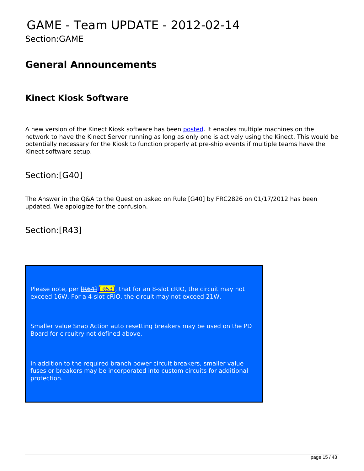# <span id="page-14-0"></span>GAME - Team UPDATE - 2012-02-14

Section:GAME

### **General Announcements**

### **Kinect Kiosk Software**

A new version of the Kinect Kiosk software has been [posted](http://firstforge.wpi.edu/sf/frs/do/viewRelease/projects.wpilib/frs.2012_frc_kinect_kiosk.2012_frc_kinect_kiosk_02_14_12?_message=1329243351242). It enables multiple machines on the network to have the Kinect Server running as long as only one is actively using the Kinect. This would be potentially necessary for the Kiosk to function properly at pre-ship events if multiple teams have the Kinect software setup.

### Section:[G40]

The Answer in the Q&A to the Question asked on Rule [G40] by FRC2826 on 01/17/2012 has been updated. We apologize for the confusion.

### Section:[R43]

Please note, per  $F64$ <sup>[R63]</sup>, that for an 8-slot cRIO, the circuit may not exceed 16W. For a 4-slot cRIO, the circuit may not exceed 21W.

Smaller value Snap Action auto resetting breakers may be used on the PD Board for circuitry not defined above.

In addition to the required branch power circuit breakers, smaller value fuses or breakers may be incorporated into custom circuits for additional protection.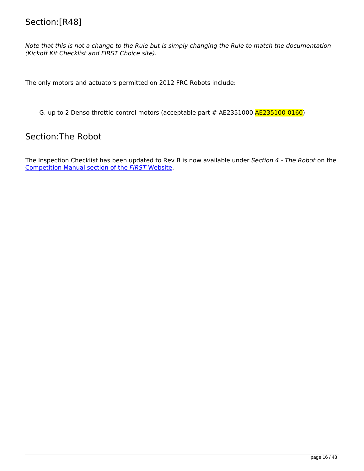### Section:[R48]

*Note that this is not a change to the Rule but is simply changing the Rule to match the documentation (Kickoff Kit Checklist and FIRST Choice site).* 

The only motors and actuators permitted on 2012 FRC Robots include:

G. up to 2 Denso throttle control motors (acceptable part # AE2351000 AE235100-0160)

### Section:The Robot

The Inspection Checklist has been updated to Rev B is now available under *Section 4 - The Robot* on the [Competition Manual section of the](http://www.usfirst.org/roboticsprograms/frc/competition-manual-and-related-documents) *[FIRST](http://www.usfirst.org/roboticsprograms/frc/competition-manual-and-related-documents)* [Website.](http://www.usfirst.org/roboticsprograms/frc/competition-manual-and-related-documents)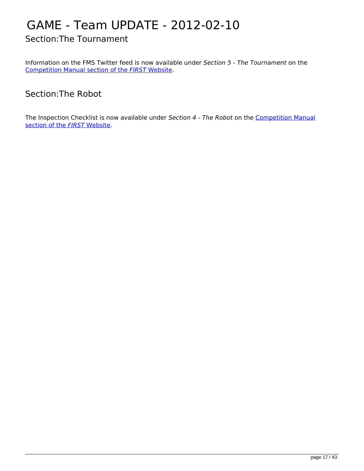# <span id="page-16-0"></span>GAME - Team UPDATE - 2012-02-10

Section:The Tournament

Information on the FMS Twitter feed is now available under *Section 5 - The Tournament* on the [Competition Manual section of the](http://www.usfirst.org/roboticsprograms/frc/competition-manual-and-related-documents) *[FIRST](http://www.usfirst.org/roboticsprograms/frc/competition-manual-and-related-documents)* [Website.](http://www.usfirst.org/roboticsprograms/frc/competition-manual-and-related-documents)

Section:The Robot

The Inspection Checklist is now available under *Section 4 - The Robot* on the [Competition Manual](http://www.usfirst.org/roboticsprograms/frc/competition-manual-and-related-documents) [section of the](http://www.usfirst.org/roboticsprograms/frc/competition-manual-and-related-documents) *[FIRST](http://www.usfirst.org/roboticsprograms/frc/competition-manual-and-related-documents)* [Website.](http://www.usfirst.org/roboticsprograms/frc/competition-manual-and-related-documents)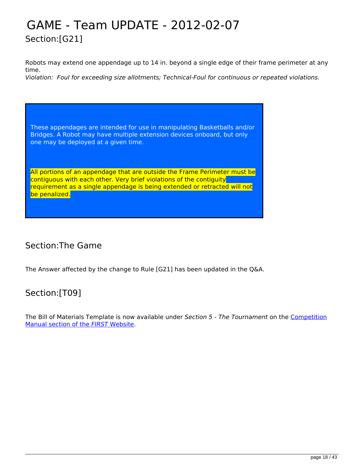## <span id="page-17-0"></span>GAME - Team UPDATE - 2012-02-07 Section:[G21]

Robots may extend one appendage up to 14 in. beyond a single edge of their frame perimeter at any time.

*Violation: Foul for exceeding size allotments; Technical-Foul for continuous or repeated violations.* 

These appendages are intended for use in manipulating Basketballs and/or Bridges. A Robot may have multiple extension devices onboard, but only one may be deployed at a given time.

All portions of an appendage that are outside the Frame Perimeter must be contiguous with each other. Very brief violations of the contiguity requirement as a single appendage is being extended or retracted will not be penalized.

### Section:The Game

The Answer affected by the change to Rule [G21] has been updated in the Q&A.

### Section:[T09]

The Bill of Materials Template is now available under *Section 5 - The Tournament* on the [Competition](http://www.usfirst.org/roboticsprograms/frc/competition-manual-and-related-documents) [Manual section of the](http://www.usfirst.org/roboticsprograms/frc/competition-manual-and-related-documents) *[FIRST](http://www.usfirst.org/roboticsprograms/frc/competition-manual-and-related-documents)* [Website](http://www.usfirst.org/roboticsprograms/frc/competition-manual-and-related-documents).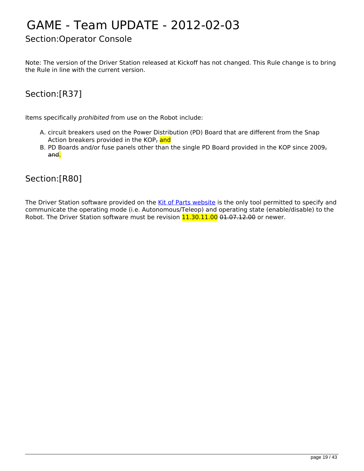# <span id="page-18-0"></span>GAME - Team UPDATE - 2012-02-03

### Section:Operator Console

Note: The version of the Driver Station released at Kickoff has not changed. This Rule change is to bring the Rule in line with the current version.

### Section:[R37]

Items specifically *prohibited* from use on the Robot include:

- A. circuit breakers used on the Power Distribution (PD) Board that are different from the Snap Action breakers provided in the KOP, and
- B. PD Boards and/or fuse panels other than the single PD Board provided in the KOP since 2009, and.

#### Section:[R80]

The Driver Station software provided on the [Kit of Parts website](http://www.usfirst.org/frc/kitofparts) is the only tool permitted to specify and communicate the operating mode (i.e. Autonomous/Teleop) and operating state (enable/disable) to the Robot. The Driver Station software must be revision 11.30.11.00 01.07.12.00 or newer.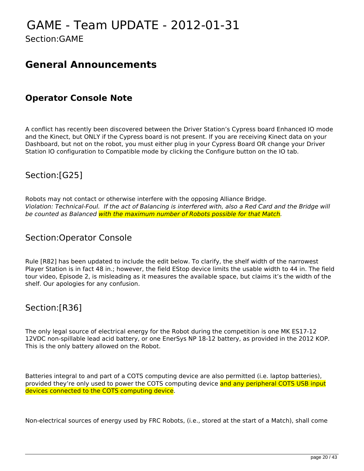# <span id="page-19-0"></span>GAME - Team UPDATE - 2012-01-31

Section:GAME

### **General Announcements**

### **Operator Console Note**

A conflict has recently been discovered between the Driver Station's Cypress board Enhanced IO mode and the Kinect, but ONLY if the Cypress board is not present. If you are receiving Kinect data on your Dashboard, but not on the robot, you must either plug in your Cypress Board OR change your Driver Station IO configuration to Compatible mode by clicking the Configure button on the IO tab.

### Section:[G25]

Robots may not contact or otherwise interfere with the opposing Alliance Bridge. *Violation: Technical-Foul. If the act of Balancing is interfered with, also a Red Card and the Bridge will be counted as Balanced with the maximum number of Robots possible for that Match.*

#### Section:Operator Console

Rule [R82] has been updated to include the edit below. To clarify, the shelf width of the narrowest Player Station is in fact 48 in.; however, the field EStop device limits the usable width to 44 in. The field tour video, Episode 2, is misleading as it measures the available space, but claims it's the width of the shelf. Our apologies for any confusion.

### Section:[R36]

The only legal source of electrical energy for the Robot during the competition is one MK ES17-12 12VDC non-spillable lead acid battery, or one EnerSys NP 18-12 battery, as provided in the 2012 KOP. This is the only battery allowed on the Robot.

Batteries integral to and part of a COTS computing device are also permitted (i.e. laptop batteries), provided they're only used to power the COTS computing device and any peripheral COTS USB input devices connected to the COTS computing device.

Non-electrical sources of energy used by FRC Robots, (i.e., stored at the start of a Match), shall come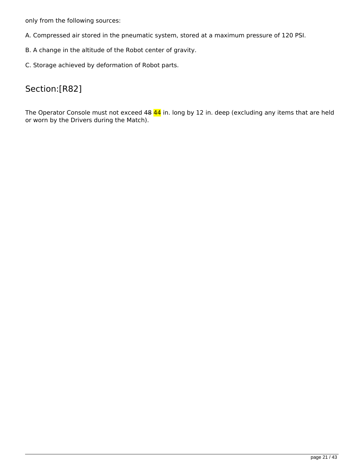only from the following sources:

- A. Compressed air stored in the pneumatic system, stored at a maximum pressure of 120 PSI.
- B. A change in the altitude of the Robot center of gravity.
- C. Storage achieved by deformation of Robot parts.

### Section:[R82]

The Operator Console must not exceed 48 44 in. long by 12 in. deep (excluding any items that are held or worn by the Drivers during the Match).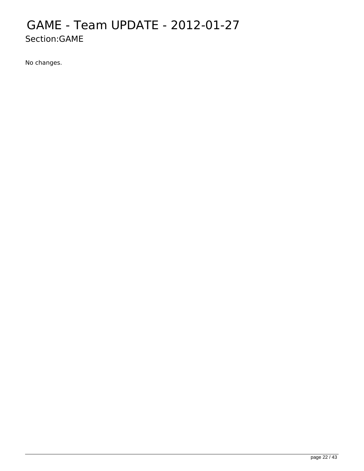### <span id="page-21-0"></span>GAME - Team UPDATE - 2012-01-27 Section:GAME

No changes.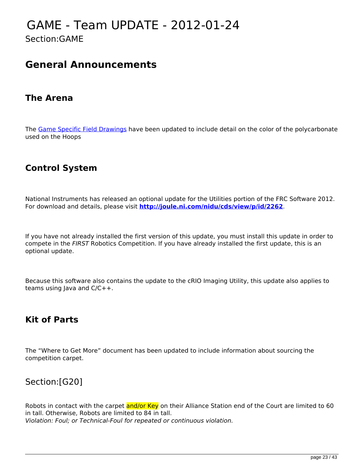### <span id="page-22-0"></span>GAME - Team UPDATE - 2012-01-24 Section:GAME

### **General Announcements**

### **The Arena**

The [Game Specific Field Drawings](http://www.usfirst.org/roboticsprograms/frc/2012-Official-FIRST-Field-Drawings) have been updated to include detail on the color of the polycarbonate used on the Hoops

### **Control System**

National Instruments has released an optional update for the Utilities portion of the FRC Software 2012. For download and details, please visit **<http://joule.ni.com/nidu/cds/view/p/id/2262>**.

If you have not already installed the first version of this update, you must install this update in order to compete in the *FIRST* Robotics Competition. If you have already installed the first update, this is an optional update.

Because this software also contains the update to the cRIO Imaging Utility, this update also applies to teams using Java and C/C++.

### **Kit of Parts**

The "Where to Get More" document has been updated to include information about sourcing the competition carpet.

### Section:[G20]

Robots in contact with the carpet and/or Key on their Alliance Station end of the Court are limited to 60 in tall. Otherwise, Robots are limited to 84 in tall. *Violation: Foul; or Technical-Foul for repeated or continuous violation.*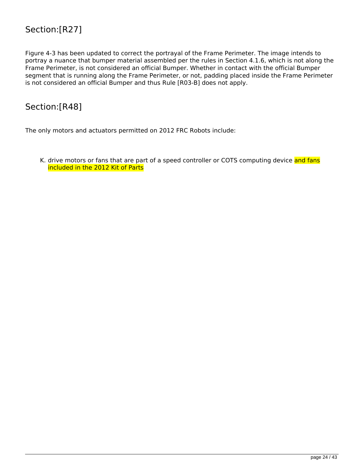### Section:[R27]

Figure 4-3 has been updated to correct the portrayal of the Frame Perimeter. The image intends to portray a nuance that bumper material assembled per the rules in Section 4.1.6, which is not along the Frame Perimeter, is not considered an official Bumper. Whether in contact with the official Bumper segment that is running along the Frame Perimeter, or not, padding placed inside the Frame Perimeter is not considered an official Bumper and thus Rule [R03-B] does not apply.

#### Section:[R48]

The only motors and actuators permitted on 2012 FRC Robots include:

K. drive motors or fans that are part of a speed controller or COTS computing device and fans included in the 2012 Kit of Parts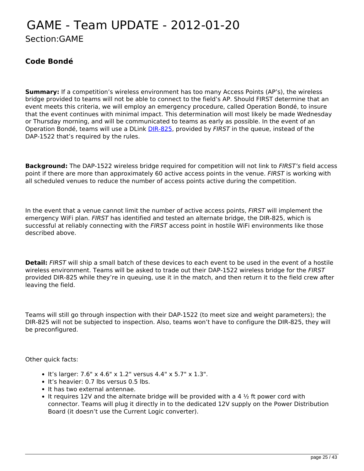### <span id="page-24-0"></span>GAME - Team UPDATE - 2012-01-20 Section:GAME

#### **Code Bondé**

**Summary:** If a competition's wireless environment has too many Access Points (AP's), the wireless bridge provided to teams will not be able to connect to the field's AP. Should FIRST determine that an event meets this criteria, we will employ an emergency procedure, called Operation Bondé, to insure that the event continues with minimal impact. This determination will most likely be made Wednesday or Thursday morning, and will be communicated to teams as early as possible. In the event of an Operation Bondé, teams will use a DLink [DIR-825,](http://www.dlink.com/DIR-825) provided by *FIRST* in the queue, instead of the DAP-1522 that's required by the rules.

**Background:** The DAP-1522 wireless bridge required for competition will not link to *FIRST's* field access point if there are more than approximately 60 active access points in the venue. *FIRST* is working with all scheduled venues to reduce the number of access points active during the competition.

In the event that a venue cannot limit the number of active access points, *FIRST* will implement the emergency WiFi plan. *FIRST* has identified and tested an alternate bridge, the DIR-825, which is successful at reliably connecting with the *FIRST* access point in hostile WiFi environments like those described above.

**Detail:** *FIRST* will ship a small batch of these devices to each event to be used in the event of a hostile wireless environment. Teams will be asked to trade out their DAP-1522 wireless bridge for the *FIRST* provided DIR-825 while they're in queuing, use it in the match, and then return it to the field crew after leaving the field.

Teams will still go through inspection with their DAP-1522 (to meet size and weight parameters); the DIR-825 will not be subjected to inspection. Also, teams won't have to configure the DIR-825, they will be preconfigured.

Other quick facts:

- It's larger:  $7.6$ " x  $4.6$ " x  $1.2$ " versus  $4.4$ " x  $5.7$ " x  $1.3$ ".
- It's heavier: 0.7 lbs versus 0.5 lbs.
- It has two external antennae.
- It requires 12V and the alternate bridge will be provided with a 4  $\frac{1}{2}$  ft power cord with connector. Teams will plug it directly in to the dedicated 12V supply on the Power Distribution Board (it doesn't use the Current Logic converter).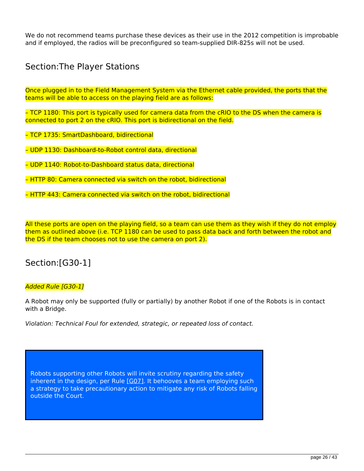We do not recommend teams purchase these devices as their use in the 2012 competition is improbable and if employed, the radios will be preconfigured so team-supplied DIR-825s will not be used.

### Section:The Player Stations

Once plugged in to the Field Management System via the Ethernet cable provided, the ports that the teams will be able to access on the playing field are as follows:

– TCP 1180: This port is typically used for camera data from the cRIO to the DS when the camera is connected to port 2 on the cRIO. This port is bidirectional on the field.

– TCP 1735: SmartDashboard, bidirectional

– UDP 1130: Dashboard-to-Robot control data, directional

– UDP 1140: Robot-to-Dashboard status data, directional

– HTTP 80: Camera connected via switch on the robot, bidirectional

– HTTP 443: Camera connected via switch on the robot, bidirectional

All these ports are open on the playing field, so a team can use them as they wish if they do not employ them as outlined above (i.e. TCP 1180 can be used to pass data back and forth between the robot and the DS if the team chooses not to use the camera on port 2).

### Section:[G30-1]

#### *Added Rule [G30-1]*

A Robot may only be supported (fully or partially) by another Robot if one of the Robots is in contact with a Bridge.

*Violation: Technical Foul for extended, strategic, or repeated loss of contact.*

Robots supporting other Robots will invite scrutiny regarding the safety inherent in the design, per Rule  $[607]$ . It behooves a team employing such a strategy to take precautionary action to mitigate any risk of Robots falling outside the Court.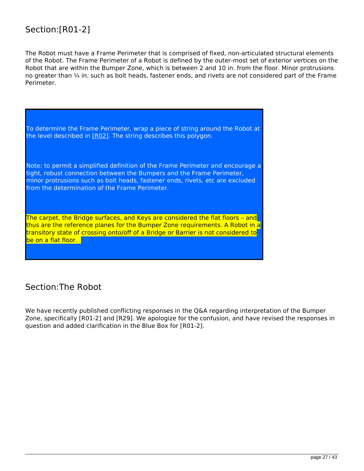### Section:[R01-2]

The Robot must have a Frame Perimeter that is comprised of fixed, non-articulated structural elements of the Robot. The Frame Perimeter of a Robot is defined by the outer-most set of exterior vertices on the Robot that are within the Bumper Zone, which is between 2 and 10 in. from the floor. Minor protrusions no greater than ¼ in. such as bolt heads, fastener ends, and rivets are not considered part of the Frame Perimeter.



The carpet, the Bridge surfaces, and Keys are considered the flat floors – and thus are the reference planes for the Bumper Zone requirements. A Robot in a transitory state of crossing onto/off of a Bridge or Barrier is not considered to be on a flat floor.

### Section:The Robot

We have recently published conflicting responses in the Q&A regarding interpretation of the Bumper Zone, specifically [R01-2] and [R29]. We apologize for the confusion, and have revised the responses in question and added clarification in the Blue Box for [R01-2].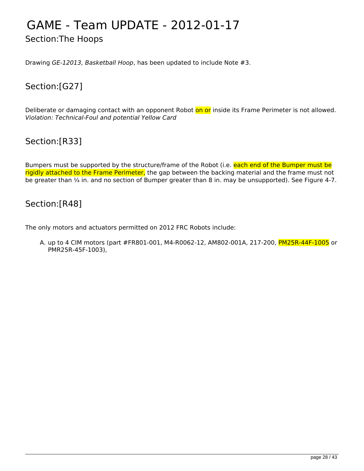# <span id="page-27-0"></span>GAME - Team UPDATE - 2012-01-17

Section:The Hoops

Drawing *GE-12013, Basketball Hoop*, has been updated to include Note #3.

### Section:[G27]

Deliberate or damaging contact with an opponent Robot on or inside its Frame Perimeter is not allowed. *Violation: Technical-Foul and potential Yellow Card*

### Section:[R33]

Bumpers must be supported by the structure/frame of the Robot (i.e. each end of the Bumper must be rigidly attached to the Frame Perimeter, the gap between the backing material and the frame must not be greater than  $\frac{1}{4}$  in. and no section of Bumper greater than 8 in. may be unsupported). See Figure 4-7.

### Section:[R48]

The only motors and actuators permitted on 2012 FRC Robots include:

A. up to 4 CIM motors (part #FR801-001, M4-R0062-12, AM802-001A, 217-200, PM25R-44F-1005 or PMR25R-45F-1003),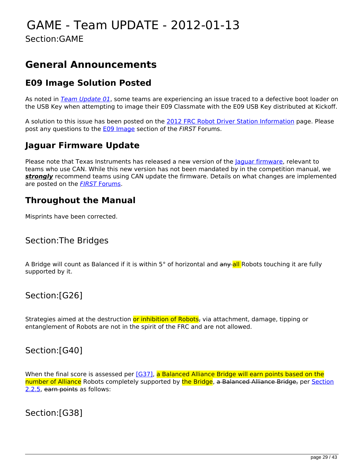## <span id="page-28-0"></span>GAME - Team UPDATE - 2012-01-13

Section:GAME

### **General Announcements**

### **E09 Image Solution Posted**

As noted in *[Team Update 01](http://frc-manual.usfirst.org/TeamUpdates/0#term%2074)*, some teams are experiencing an issue traced to a defective boot loader on the USB Key when attempting to image their E09 Classmate with the E09 USB Key distributed at Kickoff.

A solution to this issue has been posted on the [2012 FRC Robot Driver Station Information](http://www.usfirst.org/roboticsprograms/frc/2012-kit-of-parts-driver-station) page. Please post any questions to the [E09 Image](http://forums.usfirst.org/showthread.php?t=18453) section of the *FIRST* Forums.

### **Jaguar Firmware Update**

Please note that Texas Instruments has released a new version of the laquar firmware, relevant to teams who use CAN. While this new version has not been mandated by in the competition manual, we *strongly* recommend teams using CAN update the firmware. Details on what changes are implemented are posted on the *[FIRST](http://forums.usfirst.org/showthread.php?t=18532)* [Forums](http://forums.usfirst.org/showthread.php?t=18532).

### **Throughout the Manual**

Misprints have been corrected.

#### Section:The Bridges

A Bridge will count as Balanced if it is within 5° of horizontal and any all Robots touching it are fully supported by it.

#### Section:[G26]

Strategies aimed at the destruction or inhibition of Robots<sub>r</sub> via attachment, damage, tipping or entanglement of Robots are not in the spirit of the FRC and are not allowed.

#### Section:[G40]

When the final score is assessed per [\[G37\]](../viewSingleItemMap/563), a Balanced Alliance Bridge will earn points based on the number of Alliance Robots completely supported by the Bridge, a Balanced Alliance Bridge, per [Section](../viewItem/55#2.2.5) [2.2.5,](../viewItem/55#2.2.5) earn points as follows:

Section:[G38]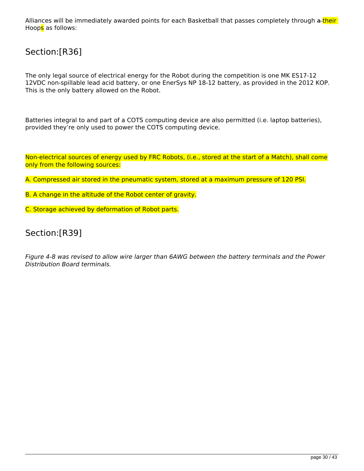Alliances will be immediately awarded points for each Basketball that passes completely through a their Hoops as follows:

### Section:[R36]

The only legal source of electrical energy for the Robot during the competition is one MK ES17-12 12VDC non-spillable lead acid battery, or one EnerSys NP 18-12 battery, as provided in the 2012 KOP. This is the only battery allowed on the Robot.

Batteries integral to and part of a COTS computing device are also permitted (i.e. laptop batteries), provided they're only used to power the COTS computing device.

Non-electrical sources of energy used by FRC Robots, (i.e., stored at the start of a Match), shall come only from the following sources:

A. Compressed air stored in the pneumatic system, stored at a maximum pressure of 120 PSI.

- B. A change in the altitude of the Robot center of gravity.
- C. Storage achieved by deformation of Robot parts.

#### Section:[R39]

*Figure 4-8 was revised to allow wire larger than 6AWG between the battery terminals and the Power Distribution Board terminals.*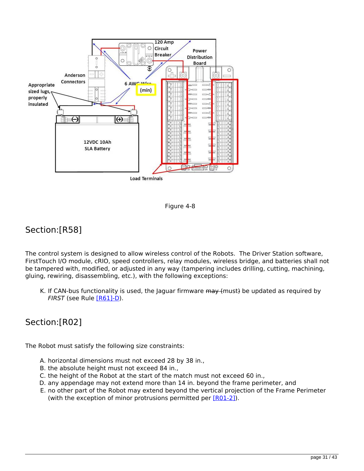



### Section:[R58]

The control system is designed to allow wireless control of the Robots. The Driver Station software, FirstTouch I/O module, cRIO, speed controllers, relay modules, wireless bridge, and batteries shall not be tampered with, modified, or adjusted in any way (tampering includes drilling, cutting, machining, gluing, rewiring, disassembling, etc.), with the following exceptions:

K. If CAN-bus functionality is used, the Jaguar firmware may (must) be updated as required by *FIRST* (see Rule [\[R61\]-D\)](http://frc-manual.usfirst.org/viewSingleItemMap/702).

### Section:[R02]

The Robot must satisfy the following size constraints:

- A. horizontal dimensions must not exceed 28 by 38 in.,
- B. the absolute height must not exceed 84 in.,
- C. the height of the Robot at the start of the match must not exceed 60 in.,
- D. any appendage may not extend more than 14 in. beyond the frame perimeter, and
- E. no other part of the Robot may extend beyond the vertical projection of the Frame Perimeter (with the exception of minor protrusions permitted per [\[R01-2\]\)](http://frc-manual.usfirst.org/viewSingleItemMap/736).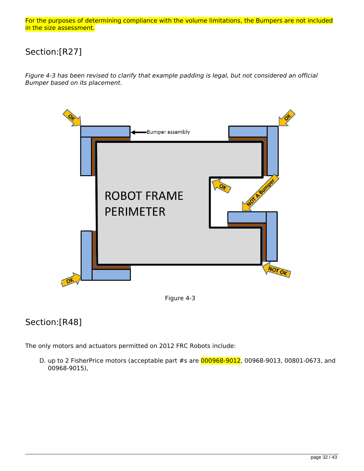For the purposes of determining compliance with the volume limitations, the Bumpers are not included in the size assessment.

### Section:[R27]

*Figure 4-3 has been revised to clarify that example padding is legal, but not considered an official Bumper based on its placement.*



Figure 4-3

### Section:[R48]

The only motors and actuators permitted on 2012 FRC Robots include:

D. up to 2 FisherPrice motors (acceptable part #s are 000968-9012, 00968-9013, 00801-0673, and 00968-9015),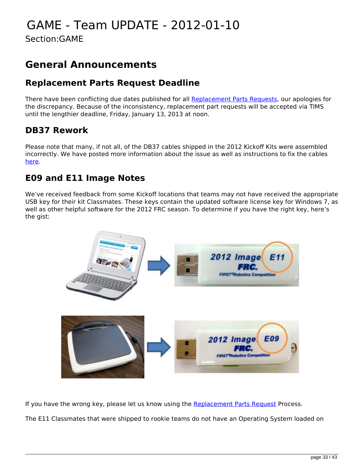# <span id="page-32-0"></span>GAME - Team UPDATE - 2012-01-10

Section:GAME

### **General Announcements**

### **Replacement Parts Request Deadline**

There have been conflicting due dates published for all [Replacement Parts Requests](http://www.usfirst.org/roboticsprograms/frc/2012-kit-of-parts-replacement-parts-process), our apologies for the discrepancy. Because of the inconsistency, replacement part requests will be accepted via TIMS until the lengthier deadline, Friday, January 13, 2013 at noon.

### **DB37 Rework**

Please note that many, if not all, of the DB37 cables shipped in the 2012 Kickoff Kits were assembled incorrectly. We have posted more information about the issue as well as instructions to fix the cables [here](http://www.usfirst.org/sites/default/files/uploadedFiles/Robotics_Programs/FRC/Game_and_Season__Info/2012_Assets/DB37%20Ribbon%20Cable%20Assembly%20-%20Rework%20Instructions.pdf).

### **E09 and E11 Image Notes**

We've received feedback from some Kickoff locations that teams may not have received the appropriate USB key for their kit Classmates. These keys contain the updated software license key for Windows 7, as well as other helpful software for the 2012 FRC season. To determine if you have the right key, here's the gist:



If you have the wrong key, please let us know using the [Replacement Parts Request](http://www.usfirst.org/roboticsprograms/frc/2012-kit-of-parts-replacement-parts-process) Process.

The E11 Classmates that were shipped to rookie teams do not have an Operating System loaded on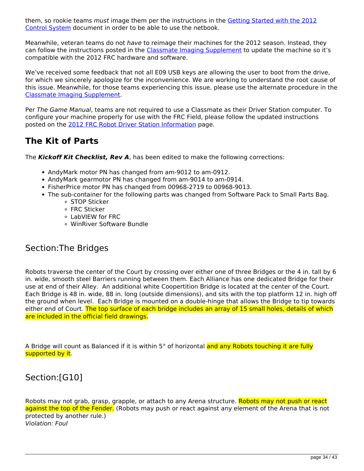them, so rookie teams *must* image them per the instructions in the [Getting Started with the 2012](http://www.usfirst.org/sites/default/files/uploadedFiles/Robotics_Programs/FRC/Game_and_Season__Info/2012_Assets/Getting%20Started%20with%20the%202012%20FRC%20Control%20System_2.pdf) [Control System](http://www.usfirst.org/sites/default/files/uploadedFiles/Robotics_Programs/FRC/Game_and_Season__Info/2012_Assets/Getting%20Started%20with%20the%202012%20FRC%20Control%20System_2.pdf) document in order to be able to use the netbook.

Meanwhile, veteran teams do not *have* to reimage their machines for the 2012 season. Instead, they can follow the instructions posted in the [Classmate Imaging Supplement](http://www.usfirst.org/sites/default/files/uploadedFiles/Robotics_Programs/FRC/Game_and_Season__Info/2012_Assets/ClassmateE09ImagingSupplement02.pdf) to update the machine so it's compatible with the 2012 FRC hardware and software.

We've received some feedback that not all E09 USB keys are allowing the user to boot from the drive, for which we sincerely apologize for the inconvenience. We are working to understand the root cause of this issue. Meanwhile, for those teams experiencing this issue, please use the alternate procedure in the [Classmate Imaging Supplement](http://www.usfirst.org/sites/default/files/uploadedFiles/Robotics_Programs/FRC/Game_and_Season__Info/2012_Assets/ClassmateE09ImagingSupplement02.pdf).

Per *The Game Manual*, teams are not required to use a Classmate as their Driver Station computer. To configure your machine properly for use with the FRC Field, please follow the updated instructions posted on the [2012 FRC Robot Driver Station Information](http://www.usfirst.org/roboticsprograms/frc/2012-kit-of-parts-driver-station) page.

### **The Kit of Parts**

The *Kickoff Kit Checklist, Rev A*, has been edited to make the following corrections:

- AndyMark motor PN has changed from am-9012 to am-0912.
- AndyMark gearmotor PN has changed from am-9014 to am-0914.
- FisherPrice motor PN has changed from 00968-2719 to 00968-9013.
- The sub-container for the following parts was changed from Software Pack to Small Parts Bag.
	- **STOP Sticker** 
		- FRC Sticker
		- LabVIEW for FRC
		- WinRiver Software Bundle

### Section:The Bridges

Robots traverse the center of the Court by crossing over either one of three Bridges or the 4 in. tall by 6 in. wide, smooth steel Barriers running between them. Each Alliance has one dedicated Bridge for their use at end of their Alley. An additional white Coopertition Bridge is located at the center of the Court. Each Bridge is 48 in. wide, 88 in. long (outside dimensions), and sits with the top platform 12 in. high off the ground when level. Each Bridge is mounted on a double-hinge that allows the Bridge to tip towards either end of Court. The top surface of each bridge includes an array of 15 small holes, details of which are included in the official field drawings.

A Bridge will count as Balanced if it is within 5° of horizontal and any Robots touching it are fully supported by it.

### Section:[G10]

Robots may not grab, grasp, grapple, or attach to any Arena structure. Robots may not push or react against the top of the Fender. (Robots may push or react against any element of the Arena that is not protected by another rule.) *Violation: Foul*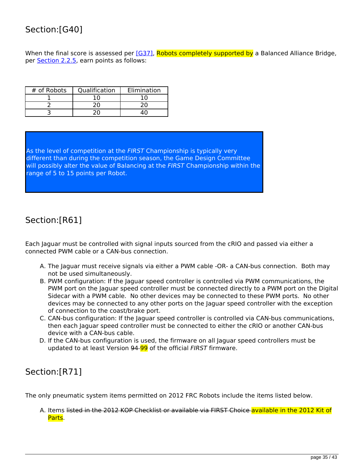### Section:[G40]

When the final score is assessed per [\[G37\]](http://frc-manual.usfirst.org/viewSingleItemMap/563), Robots completely supported by a Balanced Alliance Bridge, per [Section 2.2.5](http://frc-manual.usfirst.org/viewItem/55#2.2.5), earn points as follows:

| # of Robots | Qualification | Elimination |
|-------------|---------------|-------------|
|             |               |             |
|             |               |             |
|             |               |             |

As the level of competition at the *FIRST* Championship is typically very different than during the competition season, the Game Design Committee will possibly alter the value of Balancing at the *FIRST* Championship within the range of 5 to 15 points per Robot.

### Section:[R61]

Each Jaguar must be controlled with signal inputs sourced from the cRIO and passed via either a connected PWM cable or a CAN-bus connection.

- A. The Jaguar must receive signals via either a PWM cable -OR- a CAN-bus connection. Both may not be used simultaneously.
- B. PWM configuration: If the Jaguar speed controller is controlled via PWM communications, the PWM port on the Jaguar speed controller must be connected directly to a PWM port on the Digital Sidecar with a PWM cable. No other devices may be connected to these PWM ports. No other devices may be connected to any other ports on the Jaguar speed controller with the exception of connection to the coast/brake port.
- C. CAN-bus configuration: If the Jaguar speed controller is controlled via CAN-bus communications, then each Jaguar speed controller must be connected to either the cRIO or another CAN-bus device with a CAN-bus cable.
- D. If the CAN-bus configuration is used, the firmware on all Jaguar speed controllers must be updated to at least Version 94 99 of the official *FIRST* firmware.

### Section:[R71]

The only pneumatic system items permitted on 2012 FRC Robots include the items listed below.

A. Items listed in the 2012 KOP Checklist or available via FIRST Choice available in the 2012 Kit of Parts.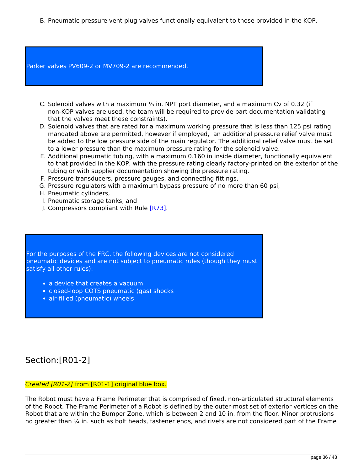B. Pneumatic pressure vent plug valves functionally equivalent to those provided in the KOP.

Parker valves PV609-2 or MV709-2 are recommended.

- C. Solenoid valves with a maximum  $\frac{1}{2}$  in. NPT port diameter, and a maximum Cv of 0.32 (if non-KOP valves are used, the team will be required to provide part documentation validating that the valves meet these constraints).
- D. Solenoid valves that are rated for a maximum working pressure that is less than 125 psi rating mandated above are permitted, however if employed, an additional pressure relief valve must be added to the low pressure side of the main regulator. The additional relief valve must be set to a lower pressure than the maximum pressure rating for the solenoid valve.
- E. Additional pneumatic tubing, with a maximum 0.160 in inside diameter, functionally equivalent to that provided in the KOP, with the pressure rating clearly factory-printed on the exterior of the tubing or with supplier documentation showing the pressure rating.
- F. Pressure transducers, pressure gauges, and connecting fittings,
- G. Pressure regulators with a maximum bypass pressure of no more than 60 psi,
- H. Pneumatic cylinders,
- I. Pneumatic storage tanks, and
- J. Compressors compliant with Rule [\[R73\]](http://frc-manual.usfirst.org/viewSingleItemMap/715).

For the purposes of the FRC, the following devices are not considered pneumatic devices and are not subject to pneumatic rules (though they must satisfy all other rules):

- a device that creates a vacuum
- closed-loop COTS pneumatic (gas) shocks
- air-filled (pneumatic) wheels

### Section:[R01-2]

#### *Created [R01-2]* from [R01-1] original blue box.

The Robot must have a Frame Perimeter that is comprised of fixed, non-articulated structural elements of the Robot. The Frame Perimeter of a Robot is defined by the outer-most set of exterior vertices on the Robot that are within the Bumper Zone, which is between 2 and 10 in. from the floor. Minor protrusions no greater than ¼ in. such as bolt heads, fastener ends, and rivets are not considered part of the Frame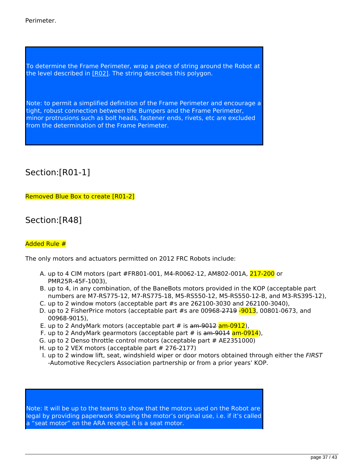Perimeter.

To determine the Frame Perimeter, wrap a piece of string around the Robot at the level described in [\[R02\].](http://frc-manual.usfirst.org/viewSingleItemMap/730) The string describes this polygon.

Note: to permit a simplified definition of the Frame Perimeter and encourage a tight, robust connection between the Bumpers and the Frame Perimeter, minor protrusions such as bolt heads, fastener ends, rivets, etc are excluded from the determination of the Frame Perimeter.

Section:[R01-1]

Removed Blue Box to create [R01-2]

Section:[R48]

#### Added Rule #

The only motors and actuators permitted on 2012 FRC Robots include:

- A. up to 4 CIM motors (part #FR801-001, M4-R0062-12, AM802-001A, 217-200 or PMR25R-45F-1003),
- B. up to 4, in any combination, of the BaneBots motors provided in the KOP (acceptable part numbers are M7-RS775-12, M7-RS775-18, M5-RS550-12, M5-RS550-12-B, and M3-RS395-12),
- C. up to 2 window motors (acceptable part #s are 262100-3030 and 262100-3040),
- D. up to 2 FisherPrice motors (acceptable part #s are 00968-2719 -9013, 00801-0673, and 00968-9015),
- E. up to 2 AndyMark motors (acceptable part  $#$  is  $\frac{am-9012}{am-0912}$ ),
- F. up to 2 AndyMark gearmotors (acceptable part # is am-9014 am-0914),
- G. up to 2 Denso throttle control motors (acceptable part # AE2351000)
- H. up to 2 VEX motors (acceptable part # 276-2177)
- I. up to 2 window lift, seat, windshield wiper or door motors obtained through either the *FIRST* -Automotive Recyclers Association partnership or from a prior years' KOP.

Note: It will be up to the teams to show that the motors used on the Robot are legal by providing paperwork showing the motor's original use, i.e. if it's called a "seat motor" on the ARA receipt, it is a seat motor.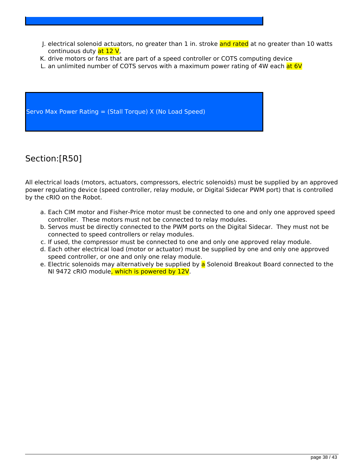- J. electrical solenoid actuators, no greater than 1 in. stroke and rated at no greater than 10 watts continuous duty at 12 V,
- K. drive motors or fans that are part of a speed controller or COTS computing device
- L. an unlimited number of COTS servos with a maximum power rating of 4W each at 6V

Servo Max Power Rating = (Stall Torque) X (No Load Speed)

### Section:[R50]

All electrical loads (motors, actuators, compressors, electric solenoids) must be supplied by an approved power regulating device (speed controller, relay module, or Digital Sidecar PWM port) that is controlled by the cRIO on the Robot.

- a. Each CIM motor and Fisher-Price motor must be connected to one and only one approved speed controller. These motors must not be connected to relay modules.
- b. Servos must be directly connected to the PWM ports on the Digital Sidecar. They must not be connected to speed controllers or relay modules.
- c. If used, the compressor must be connected to one and only one approved relay module.
- d. Each other electrical load (motor or actuator) must be supplied by one and only one approved speed controller, or one and only one relay module.
- e. Electric solenoids may alternatively be supplied by a Solenoid Breakout Board connected to the NI 9472 cRIO module, which is powered by 12V.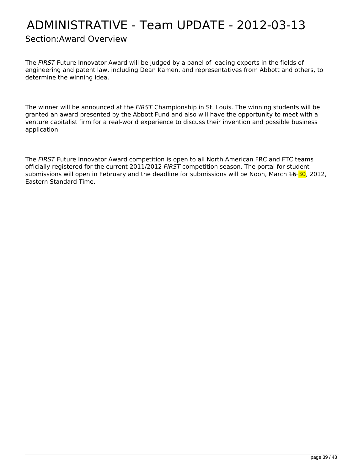# <span id="page-38-0"></span>ADMINISTRATIVE - Team UPDATE - 2012-03-13

#### Section:Award Overview

The *FIRST* Future Innovator Award will be judged by a panel of leading experts in the fields of engineering and patent law, including Dean Kamen, and representatives from Abbott and others, to determine the winning idea.

The winner will be announced at the *FIRST* Championship in St. Louis. The winning students will be granted an award presented by the Abbott Fund and also will have the opportunity to meet with a venture capitalist firm for a real-world experience to discuss their invention and possible business application.

The *FIRST* Future Innovator Award competition is open to all North American FRC and FTC teams officially registered for the current 2011/2012 *FIRST* competition season. The portal for student submissions will open in February and the deadline for submissions will be Noon, March 16-30, 2012, Eastern Standard Time.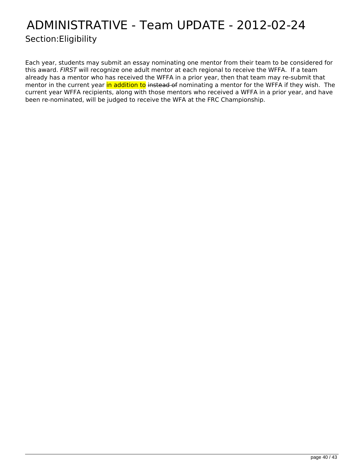## <span id="page-39-0"></span>ADMINISTRATIVE - Team UPDATE - 2012-02-24 Section:Eligibility

Each year, students may submit an essay nominating one mentor from their team to be considered for this award. *FIRST* will recognize one adult mentor at each regional to receive the WFFA. If a team already has a mentor who has received the WFFA in a prior year, then that team may re-submit that mentor in the current year in addition to instead of nominating a mentor for the WFFA if they wish. The current year WFFA recipients, along with those mentors who received a WFFA in a prior year, and have been re-nominated, will be judged to receive the WFA at the FRC Championship.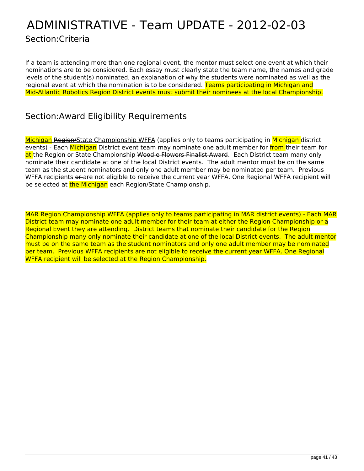### <span id="page-40-0"></span>ADMINISTRATIVE - Team UPDATE - 2012-02-03 Section:Criteria

If a team is attending more than one regional event, the mentor must select one event at which their nominations are to be considered. Each essay must clearly state the team name, the names and grade levels of the student(s) nominated, an explanation of why the students were nominated as well as the regional event at which the nomination is to be considered. Teams participating in Michigan and Mid-Atlantic Robotics Region District events must submit their nominees at the local Championship.

#### Section:Award Eligibility Requirements

Michigan Region/State Championship WFFA (applies only to teams participating in Michigan district events) - Each Michigan District-event team may nominate one adult member for from their team for at the Region or State Championship <del>Woodie Flowers Finalist Award</del>. Each District team many only nominate their candidate at one of the local District events. The adult mentor must be on the same team as the student nominators and only one adult member may be nominated per team. Previous WFFA recipients or are not eligible to receive the current year WFFA. One Regional WFFA recipient will be selected at the Michigan each Region/State Championship.

MAR Region Championship WFFA (applies only to teams participating in MAR district events) - Each MAR District team may nominate one adult member for their team at either the Region Championship or a Regional Event they are attending. District teams that nominate their candidate for the Region Championship many only nominate their candidate at one of the local District events. The adult mentor must be on the same team as the student nominators and only one adult member may be nominated per team. Previous WFFA recipients are not eligible to receive the current year WFFA. One Regional WFFA recipient will be selected at the Region Championship.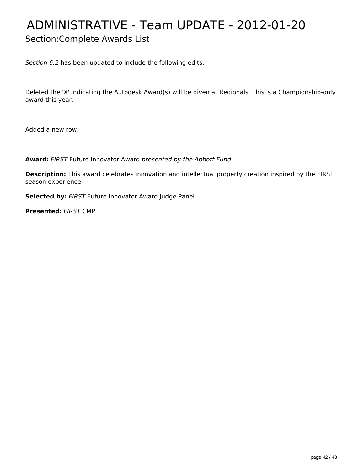# <span id="page-41-0"></span>ADMINISTRATIVE - Team UPDATE - 2012-01-20

### Section:Complete Awards List

*Section 6.2* has been updated to include the following edits:

Deleted the 'X' indicating the Autodesk Award(s) will be given at Regionals. This is a Championship-only award this year.

Added a new row,

**Award:** *FIRST* Future Innovator Award *presented by the Abbott Fund*

**Description:** This award celebrates innovation and intellectual property creation inspired by the FIRST season experience

**Selected by:** *FIRST* Future Innovator Award Judge Panel

**Presented:** *FIRST* CMP